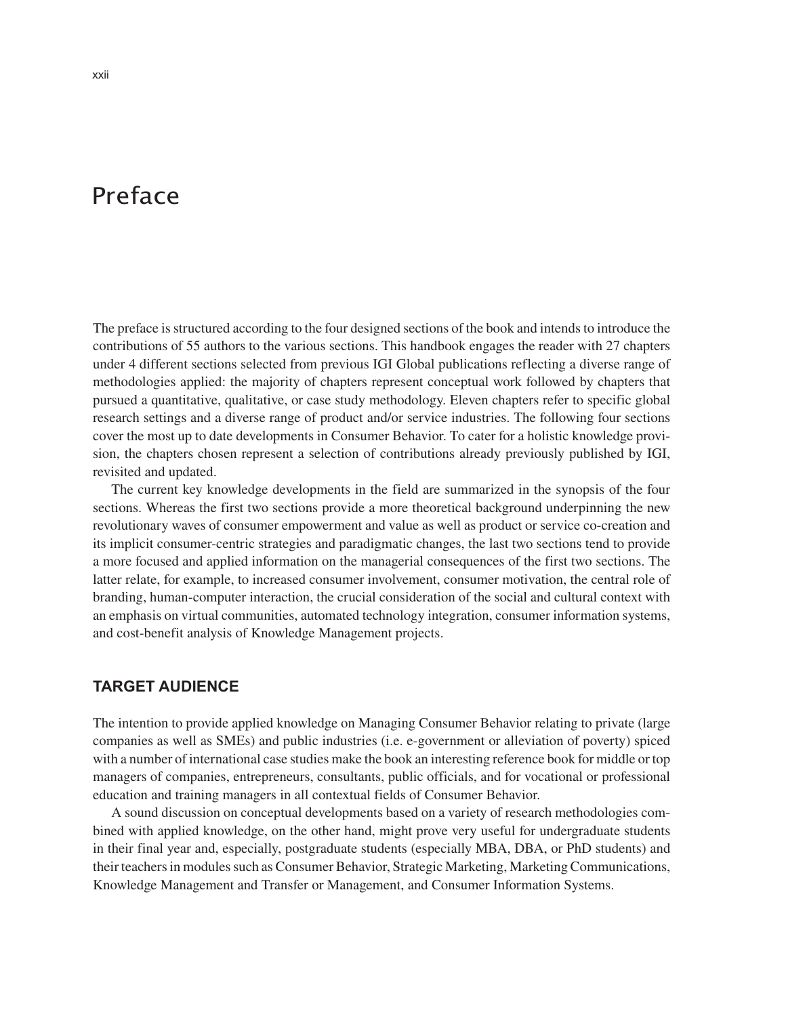# Preface

The preface is structured according to the four designed sections of the book and intends to introduce the contributions of 55 authors to the various sections. This handbook engages the reader with 27 chapters under 4 different sections selected from previous IGI Global publications reflecting a diverse range of methodologies applied: the majority of chapters represent conceptual work followed by chapters that pursued a quantitative, qualitative, or case study methodology. Eleven chapters refer to specific global research settings and a diverse range of product and/or service industries. The following four sections cover the most up to date developments in Consumer Behavior. To cater for a holistic knowledge provision, the chapters chosen represent a selection of contributions already previously published by IGI, revisited and updated.

The current key knowledge developments in the field are summarized in the synopsis of the four sections. Whereas the first two sections provide a more theoretical background underpinning the new revolutionary waves of consumer empowerment and value as well as product or service co-creation and its implicit consumer-centric strategies and paradigmatic changes, the last two sections tend to provide a more focused and applied information on the managerial consequences of the first two sections. The latter relate, for example, to increased consumer involvement, consumer motivation, the central role of branding, human-computer interaction, the crucial consideration of the social and cultural context with an emphasis on virtual communities, automated technology integration, consumer information systems, and cost-benefit analysis of Knowledge Management projects.

### **TARGET AUDIENCE**

The intention to provide applied knowledge on Managing Consumer Behavior relating to private (large companies as well as SMEs) and public industries (i.e. e-government or alleviation of poverty) spiced with a number of international case studies make the book an interesting reference book for middle or top managers of companies, entrepreneurs, consultants, public officials, and for vocational or professional education and training managers in all contextual fields of Consumer Behavior.

A sound discussion on conceptual developments based on a variety of research methodologies combined with applied knowledge, on the other hand, might prove very useful for undergraduate students in their final year and, especially, postgraduate students (especially MBA, DBA, or PhD students) and their teachers in modules such as Consumer Behavior, Strategic Marketing, Marketing Communications, Knowledge Management and Transfer or Management, and Consumer Information Systems.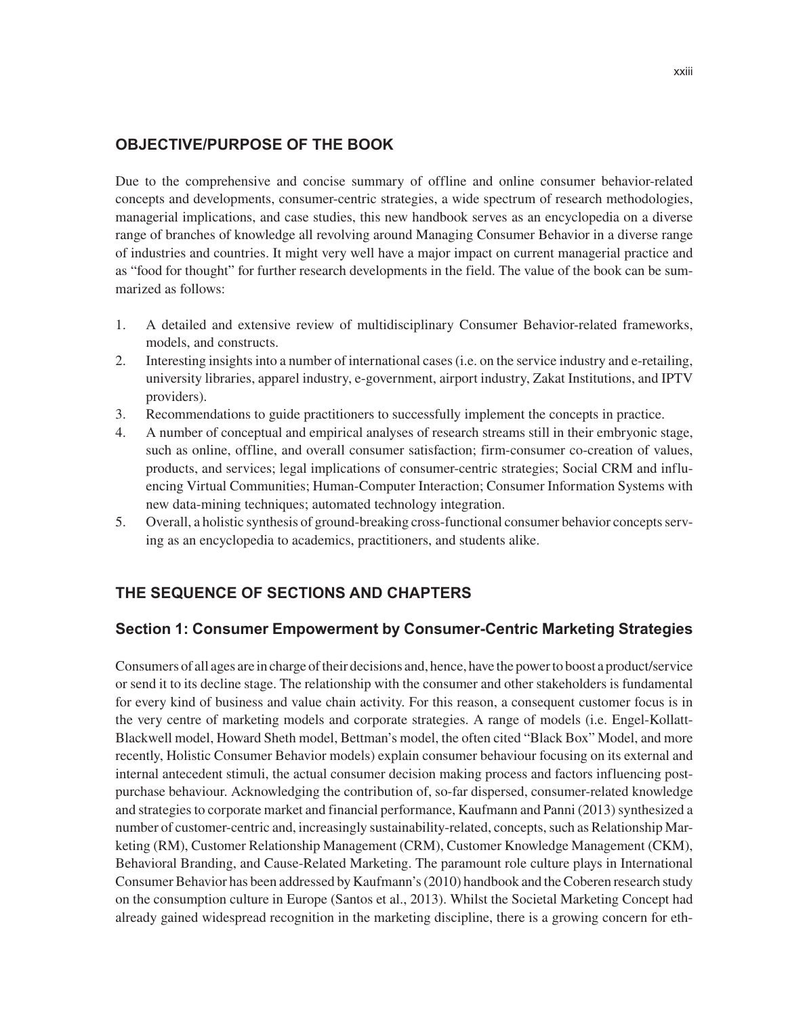## **OBJECTIVE/PURPOSE OF THE BOOK**

Due to the comprehensive and concise summary of offline and online consumer behavior-related concepts and developments, consumer-centric strategies, a wide spectrum of research methodologies, managerial implications, and case studies, this new handbook serves as an encyclopedia on a diverse range of branches of knowledge all revolving around Managing Consumer Behavior in a diverse range of industries and countries. It might very well have a major impact on current managerial practice and as "food for thought" for further research developments in the field. The value of the book can be summarized as follows:

- 1. A detailed and extensive review of multidisciplinary Consumer Behavior-related frameworks, models, and constructs.
- 2. Interesting insights into a number of international cases (i.e. on the service industry and e-retailing, university libraries, apparel industry, e-government, airport industry, Zakat Institutions, and IPTV providers).
- 3. Recommendations to guide practitioners to successfully implement the concepts in practice.
- 4. A number of conceptual and empirical analyses of research streams still in their embryonic stage, such as online, offline, and overall consumer satisfaction; firm-consumer co-creation of values, products, and services; legal implications of consumer-centric strategies; Social CRM and influencing Virtual Communities; Human-Computer Interaction; Consumer Information Systems with new data-mining techniques; automated technology integration.
- 5. Overall, a holistic synthesis of ground-breaking cross-functional consumer behavior concepts serving as an encyclopedia to academics, practitioners, and students alike.

## **THE SEQUENCE OF SECTIONS AND CHAPTERS**

## **Section 1: Consumer Empowerment by Consumer-Centric Marketing Strategies**

Consumers of all ages are in charge of their decisions and, hence, have the power to boost a product/service or send it to its decline stage. The relationship with the consumer and other stakeholders is fundamental for every kind of business and value chain activity. For this reason, a consequent customer focus is in the very centre of marketing models and corporate strategies. A range of models (i.e. Engel-Kollatt-Blackwell model, Howard Sheth model, Bettman's model, the often cited "Black Box" Model, and more recently, Holistic Consumer Behavior models) explain consumer behaviour focusing on its external and internal antecedent stimuli, the actual consumer decision making process and factors influencing postpurchase behaviour. Acknowledging the contribution of, so-far dispersed, consumer-related knowledge and strategies to corporate market and financial performance, Kaufmann and Panni (2013) synthesized a number of customer-centric and, increasingly sustainability-related, concepts, such as Relationship Marketing (RM), Customer Relationship Management (CRM), Customer Knowledge Management (CKM), Behavioral Branding, and Cause-Related Marketing. The paramount role culture plays in International Consumer Behavior has been addressed by Kaufmann's (2010) handbook and the Coberen research study on the consumption culture in Europe (Santos et al., 2013). Whilst the Societal Marketing Concept had already gained widespread recognition in the marketing discipline, there is a growing concern for eth-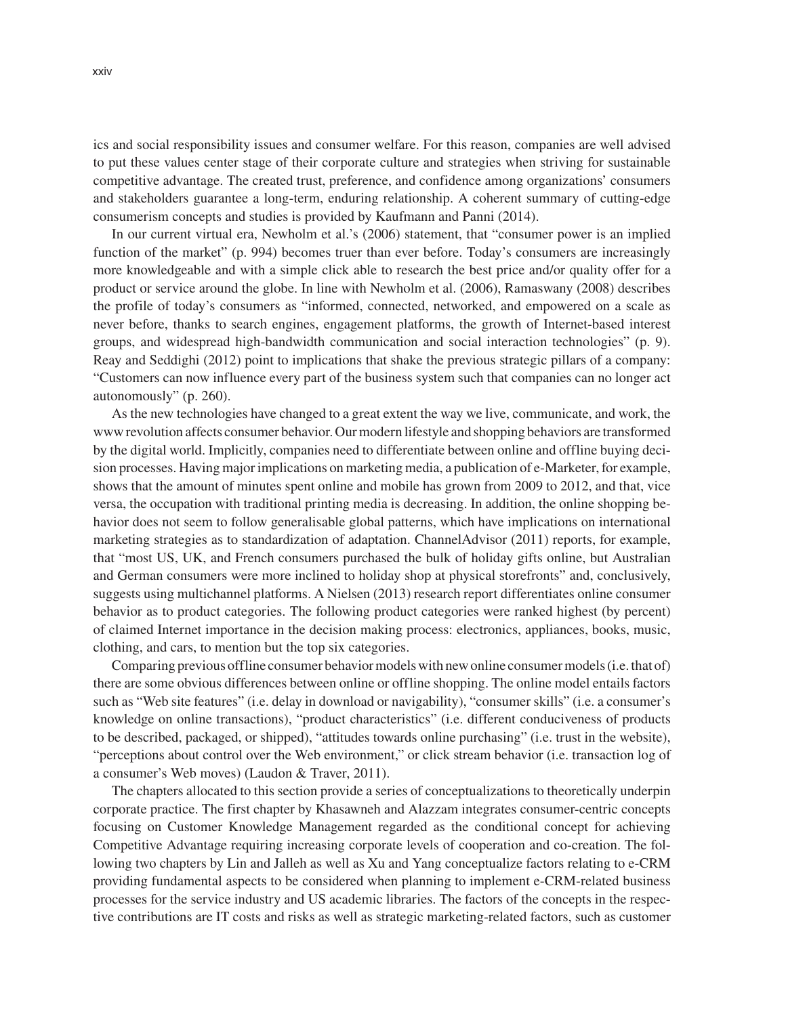ics and social responsibility issues and consumer welfare. For this reason, companies are well advised to put these values center stage of their corporate culture and strategies when striving for sustainable competitive advantage. The created trust, preference, and confidence among organizations' consumers and stakeholders guarantee a long-term, enduring relationship. A coherent summary of cutting-edge consumerism concepts and studies is provided by Kaufmann and Panni (2014).

In our current virtual era, Newholm et al.'s (2006) statement, that "consumer power is an implied function of the market" (p. 994) becomes truer than ever before. Today's consumers are increasingly more knowledgeable and with a simple click able to research the best price and/or quality offer for a product or service around the globe. In line with Newholm et al. (2006), Ramaswany (2008) describes the profile of today's consumers as "informed, connected, networked, and empowered on a scale as never before, thanks to search engines, engagement platforms, the growth of Internet-based interest groups, and widespread high-bandwidth communication and social interaction technologies" (p. 9). Reay and Seddighi (2012) point to implications that shake the previous strategic pillars of a company: "Customers can now influence every part of the business system such that companies can no longer act autonomously" (p. 260).

As the new technologies have changed to a great extent the way we live, communicate, and work, the www revolution affects consumer behavior. Our modern lifestyle and shopping behaviors are transformed by the digital world. Implicitly, companies need to differentiate between online and offline buying decision processes. Having major implications on marketing media, a publication of e-Marketer, for example, shows that the amount of minutes spent online and mobile has grown from 2009 to 2012, and that, vice versa, the occupation with traditional printing media is decreasing. In addition, the online shopping behavior does not seem to follow generalisable global patterns, which have implications on international marketing strategies as to standardization of adaptation. ChannelAdvisor (2011) reports, for example, that "most US, UK, and French consumers purchased the bulk of holiday gifts online, but Australian and German consumers were more inclined to holiday shop at physical storefronts" and, conclusively, suggests using multichannel platforms. A Nielsen (2013) research report differentiates online consumer behavior as to product categories. The following product categories were ranked highest (by percent) of claimed Internet importance in the decision making process: electronics, appliances, books, music, clothing, and cars, to mention but the top six categories.

Comparing previous offline consumer behavior models with new online consumer models (i.e. that of) there are some obvious differences between online or offline shopping. The online model entails factors such as "Web site features" (i.e. delay in download or navigability), "consumer skills" (i.e. a consumer's knowledge on online transactions), "product characteristics" (i.e. different conduciveness of products to be described, packaged, or shipped), "attitudes towards online purchasing" (i.e. trust in the website), "perceptions about control over the Web environment," or click stream behavior (i.e. transaction log of a consumer's Web moves) (Laudon & Traver, 2011).

The chapters allocated to this section provide a series of conceptualizations to theoretically underpin corporate practice. The first chapter by Khasawneh and Alazzam integrates consumer-centric concepts focusing on Customer Knowledge Management regarded as the conditional concept for achieving Competitive Advantage requiring increasing corporate levels of cooperation and co-creation. The following two chapters by Lin and Jalleh as well as Xu and Yang conceptualize factors relating to e-CRM providing fundamental aspects to be considered when planning to implement e-CRM-related business processes for the service industry and US academic libraries. The factors of the concepts in the respective contributions are IT costs and risks as well as strategic marketing-related factors, such as customer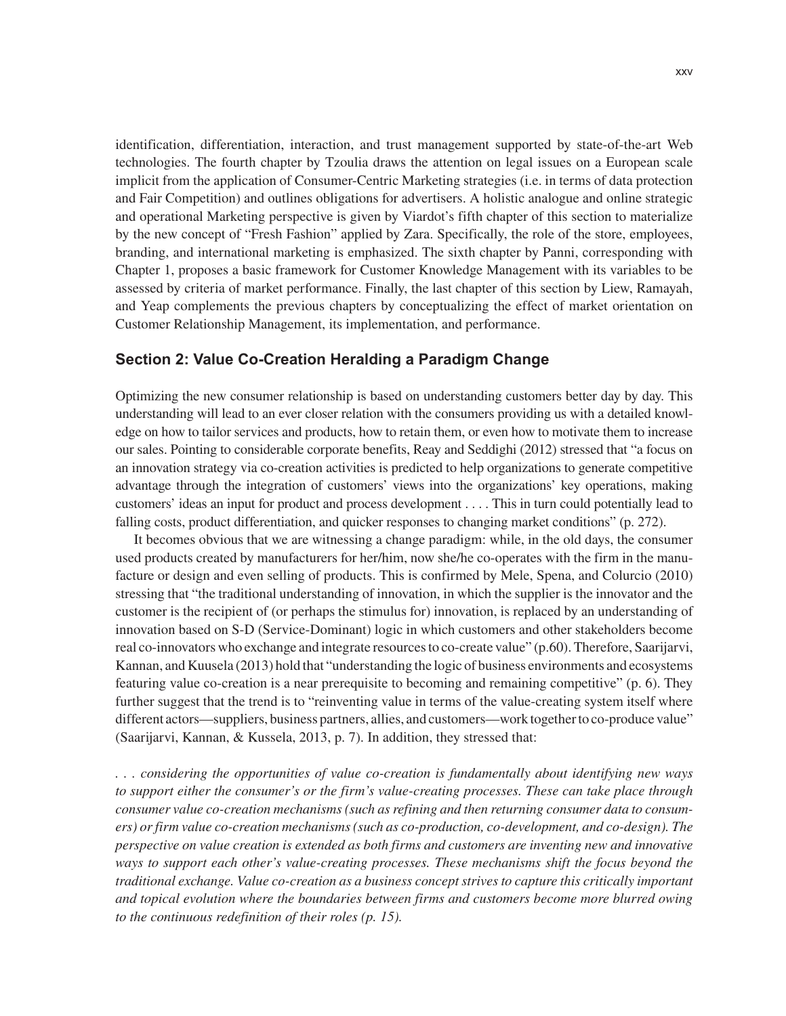identification, differentiation, interaction, and trust management supported by state-of-the-art Web technologies. The fourth chapter by Tzoulia draws the attention on legal issues on a European scale implicit from the application of Consumer-Centric Marketing strategies (i.e. in terms of data protection and Fair Competition) and outlines obligations for advertisers. A holistic analogue and online strategic and operational Marketing perspective is given by Viardot's fifth chapter of this section to materialize by the new concept of "Fresh Fashion" applied by Zara. Specifically, the role of the store, employees, branding, and international marketing is emphasized. The sixth chapter by Panni, corresponding with Chapter 1, proposes a basic framework for Customer Knowledge Management with its variables to be assessed by criteria of market performance. Finally, the last chapter of this section by Liew, Ramayah, and Yeap complements the previous chapters by conceptualizing the effect of market orientation on Customer Relationship Management, its implementation, and performance.

#### **Section 2: Value Co-Creation Heralding a Paradigm Change**

Optimizing the new consumer relationship is based on understanding customers better day by day. This understanding will lead to an ever closer relation with the consumers providing us with a detailed knowledge on how to tailor services and products, how to retain them, or even how to motivate them to increase our sales. Pointing to considerable corporate benefits, Reay and Seddighi (2012) stressed that "a focus on an innovation strategy via co-creation activities is predicted to help organizations to generate competitive advantage through the integration of customers' views into the organizations' key operations, making customers' ideas an input for product and process development . . . . This in turn could potentially lead to falling costs, product differentiation, and quicker responses to changing market conditions" (p. 272).

It becomes obvious that we are witnessing a change paradigm: while, in the old days, the consumer used products created by manufacturers for her/him, now she/he co-operates with the firm in the manufacture or design and even selling of products. This is confirmed by Mele, Spena, and Colurcio (2010) stressing that "the traditional understanding of innovation, in which the supplier is the innovator and the customer is the recipient of (or perhaps the stimulus for) innovation, is replaced by an understanding of innovation based on S-D (Service-Dominant) logic in which customers and other stakeholders become real co-innovators who exchange and integrate resources to co-create value" (p.60). Therefore, Saarijarvi, Kannan, and Kuusela (2013) hold that "understanding the logic of business environments and ecosystems featuring value co-creation is a near prerequisite to becoming and remaining competitive" (p. 6). They further suggest that the trend is to "reinventing value in terms of the value-creating system itself where different actors—suppliers, business partners, allies, and customers—work together to co-produce value" (Saarijarvi, Kannan, & Kussela, 2013, p. 7). In addition, they stressed that:

*. . . considering the opportunities of value co-creation is fundamentally about identifying new ways to support either the consumer's or the firm's value-creating processes. These can take place through consumer value co-creation mechanisms (such as refining and then returning consumer data to consumers) or firm value co-creation mechanisms (such as co-production, co-development, and co-design). The perspective on value creation is extended as both firms and customers are inventing new and innovative ways to support each other's value-creating processes. These mechanisms shift the focus beyond the traditional exchange. Value co-creation as a business concept strives to capture this critically important and topical evolution where the boundaries between firms and customers become more blurred owing to the continuous redefinition of their roles (p. 15).*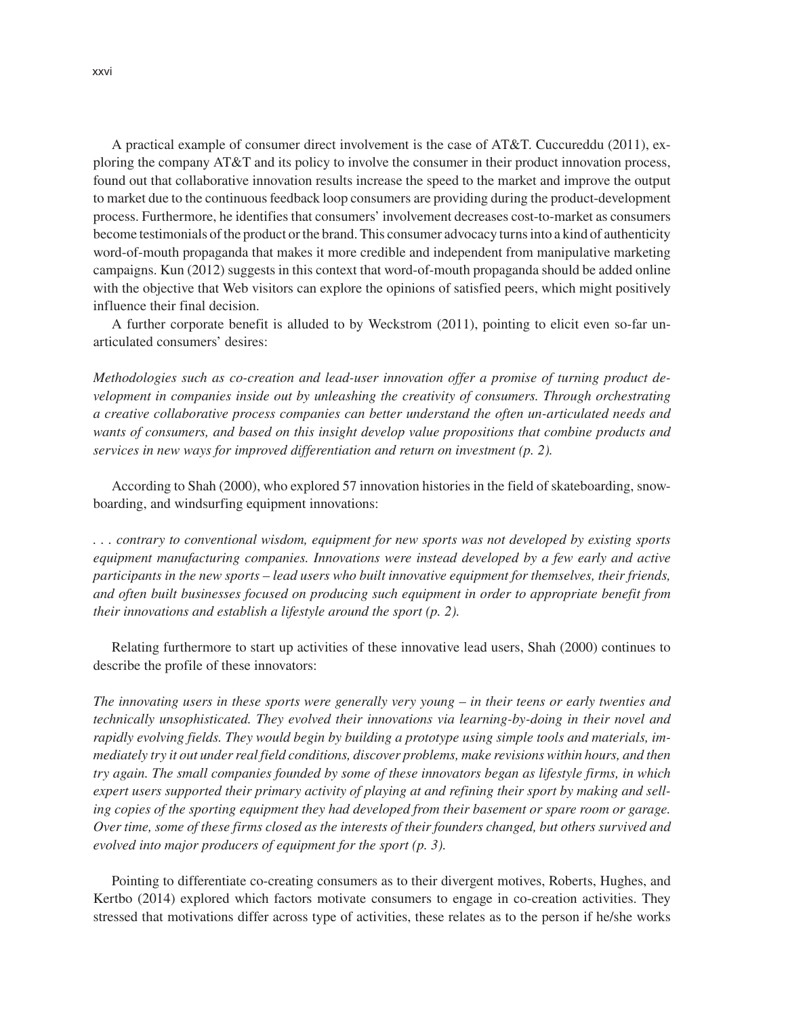A practical example of consumer direct involvement is the case of AT&T. Cuccureddu (2011), exploring the company AT&T and its policy to involve the consumer in their product innovation process, found out that collaborative innovation results increase the speed to the market and improve the output to market due to the continuous feedback loop consumers are providing during the product-development process. Furthermore, he identifies that consumers' involvement decreases cost-to-market as consumers become testimonials of the product or the brand. This consumer advocacy turns into a kind of authenticity word-of-mouth propaganda that makes it more credible and independent from manipulative marketing campaigns. Kun (2012) suggests in this context that word-of-mouth propaganda should be added online with the objective that Web visitors can explore the opinions of satisfied peers, which might positively influence their final decision.

A further corporate benefit is alluded to by Weckstrom (2011), pointing to elicit even so-far unarticulated consumers' desires:

*Methodologies such as co-creation and lead-user innovation offer a promise of turning product development in companies inside out by unleashing the creativity of consumers. Through orchestrating a creative collaborative process companies can better understand the often un-articulated needs and wants of consumers, and based on this insight develop value propositions that combine products and services in new ways for improved differentiation and return on investment (p. 2).* 

According to Shah (2000), who explored 57 innovation histories in the field of skateboarding, snowboarding, and windsurfing equipment innovations:

*. . . contrary to conventional wisdom, equipment for new sports was not developed by existing sports equipment manufacturing companies. Innovations were instead developed by a few early and active participants in the new sports – lead users who built innovative equipment for themselves, their friends, and often built businesses focused on producing such equipment in order to appropriate benefit from their innovations and establish a lifestyle around the sport (p. 2).* 

Relating furthermore to start up activities of these innovative lead users, Shah (2000) continues to describe the profile of these innovators:

*The innovating users in these sports were generally very young – in their teens or early twenties and technically unsophisticated. They evolved their innovations via learning-by-doing in their novel and rapidly evolving fields. They would begin by building a prototype using simple tools and materials, immediately try it out under real field conditions, discover problems, make revisions within hours, and then try again. The small companies founded by some of these innovators began as lifestyle firms, in which expert users supported their primary activity of playing at and refining their sport by making and selling copies of the sporting equipment they had developed from their basement or spare room or garage. Over time, some of these firms closed as the interests of their founders changed, but others survived and evolved into major producers of equipment for the sport (p. 3).* 

Pointing to differentiate co-creating consumers as to their divergent motives, Roberts, Hughes, and Kertbo (2014) explored which factors motivate consumers to engage in co-creation activities. They stressed that motivations differ across type of activities, these relates as to the person if he/she works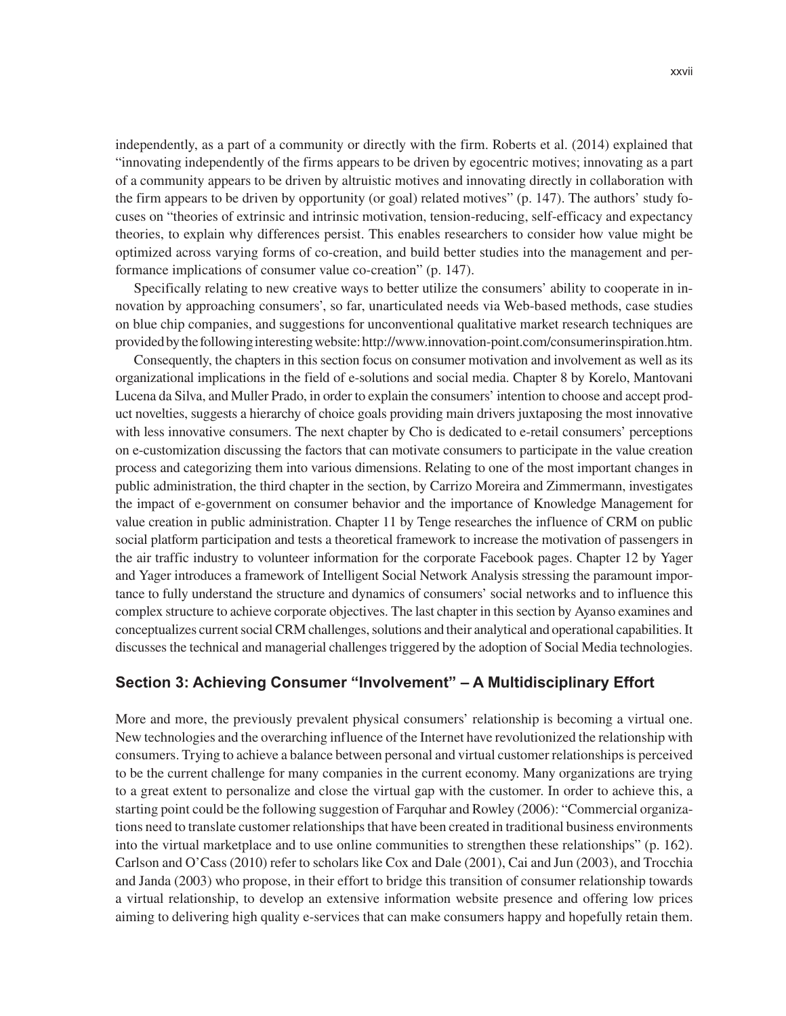independently, as a part of a community or directly with the firm. Roberts et al. (2014) explained that "innovating independently of the firms appears to be driven by egocentric motives; innovating as a part of a community appears to be driven by altruistic motives and innovating directly in collaboration with the firm appears to be driven by opportunity (or goal) related motives" (p. 147). The authors' study focuses on "theories of extrinsic and intrinsic motivation, tension-reducing, self-efficacy and expectancy theories, to explain why differences persist. This enables researchers to consider how value might be optimized across varying forms of co-creation, and build better studies into the management and performance implications of consumer value co-creation" (p. 147).

Specifically relating to new creative ways to better utilize the consumers' ability to cooperate in innovation by approaching consumers', so far, unarticulated needs via Web-based methods, case studies on blue chip companies, and suggestions for unconventional qualitative market research techniques are provided by the following interesting website: http://www.innovation-point.com/consumerinspiration.htm.

Consequently, the chapters in this section focus on consumer motivation and involvement as well as its organizational implications in the field of e-solutions and social media. Chapter 8 by Korelo, Mantovani Lucena da Silva, and Muller Prado, in order to explain the consumers' intention to choose and accept product novelties, suggests a hierarchy of choice goals providing main drivers juxtaposing the most innovative with less innovative consumers. The next chapter by Cho is dedicated to e-retail consumers' perceptions on e-customization discussing the factors that can motivate consumers to participate in the value creation process and categorizing them into various dimensions. Relating to one of the most important changes in public administration, the third chapter in the section, by Carrizo Moreira and Zimmermann, investigates the impact of e-government on consumer behavior and the importance of Knowledge Management for value creation in public administration. Chapter 11 by Tenge researches the influence of CRM on public social platform participation and tests a theoretical framework to increase the motivation of passengers in the air traffic industry to volunteer information for the corporate Facebook pages. Chapter 12 by Yager and Yager introduces a framework of Intelligent Social Network Analysis stressing the paramount importance to fully understand the structure and dynamics of consumers' social networks and to influence this complex structure to achieve corporate objectives. The last chapter in this section by Ayanso examines and conceptualizes current social CRM challenges, solutions and their analytical and operational capabilities. It discusses the technical and managerial challenges triggered by the adoption of Social Media technologies.

#### **Section 3: Achieving Consumer "Involvement" – A Multidisciplinary Effort**

More and more, the previously prevalent physical consumers' relationship is becoming a virtual one. New technologies and the overarching influence of the Internet have revolutionized the relationship with consumers. Trying to achieve a balance between personal and virtual customer relationships is perceived to be the current challenge for many companies in the current economy. Many organizations are trying to a great extent to personalize and close the virtual gap with the customer. In order to achieve this, a starting point could be the following suggestion of Farquhar and Rowley (2006): "Commercial organizations need to translate customer relationships that have been created in traditional business environments into the virtual marketplace and to use online communities to strengthen these relationships" (p. 162). Carlson and O'Cass (2010) refer to scholars like Cox and Dale (2001), Cai and Jun (2003), and Trocchia and Janda (2003) who propose, in their effort to bridge this transition of consumer relationship towards a virtual relationship, to develop an extensive information website presence and offering low prices aiming to delivering high quality e-services that can make consumers happy and hopefully retain them.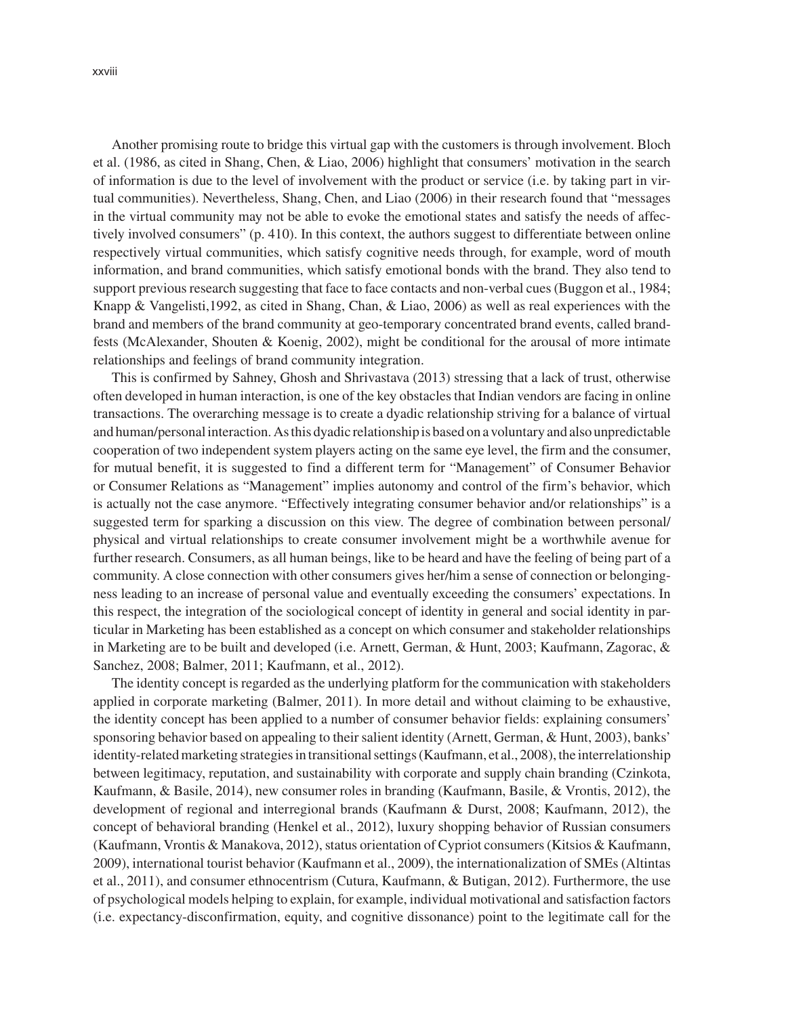xxviii

Another promising route to bridge this virtual gap with the customers is through involvement. Bloch et al. (1986, as cited in Shang, Chen, & Liao, 2006) highlight that consumers' motivation in the search of information is due to the level of involvement with the product or service (i.e. by taking part in virtual communities). Nevertheless, Shang, Chen, and Liao (2006) in their research found that "messages in the virtual community may not be able to evoke the emotional states and satisfy the needs of affectively involved consumers" (p. 410). In this context, the authors suggest to differentiate between online respectively virtual communities, which satisfy cognitive needs through, for example, word of mouth information, and brand communities, which satisfy emotional bonds with the brand. They also tend to support previous research suggesting that face to face contacts and non-verbal cues (Buggon et al., 1984; Knapp & Vangelisti,1992, as cited in Shang, Chan, & Liao, 2006) as well as real experiences with the brand and members of the brand community at geo-temporary concentrated brand events, called brandfests (McAlexander, Shouten & Koenig, 2002), might be conditional for the arousal of more intimate relationships and feelings of brand community integration.

This is confirmed by Sahney, Ghosh and Shrivastava (2013) stressing that a lack of trust, otherwise often developed in human interaction, is one of the key obstacles that Indian vendors are facing in online transactions. The overarching message is to create a dyadic relationship striving for a balance of virtual and human/personal interaction. As this dyadic relationship is based on a voluntary and also unpredictable cooperation of two independent system players acting on the same eye level, the firm and the consumer, for mutual benefit, it is suggested to find a different term for "Management" of Consumer Behavior or Consumer Relations as "Management" implies autonomy and control of the firm's behavior, which is actually not the case anymore. "Effectively integrating consumer behavior and/or relationships" is a suggested term for sparking a discussion on this view. The degree of combination between personal/ physical and virtual relationships to create consumer involvement might be a worthwhile avenue for further research. Consumers, as all human beings, like to be heard and have the feeling of being part of a community. A close connection with other consumers gives her/him a sense of connection or belongingness leading to an increase of personal value and eventually exceeding the consumers' expectations. In this respect, the integration of the sociological concept of identity in general and social identity in particular in Marketing has been established as a concept on which consumer and stakeholder relationships in Marketing are to be built and developed (i.e. Arnett, German, & Hunt, 2003; Kaufmann, Zagorac, & Sanchez, 2008; Balmer, 2011; Kaufmann, et al., 2012).

The identity concept is regarded as the underlying platform for the communication with stakeholders applied in corporate marketing (Balmer, 2011). In more detail and without claiming to be exhaustive, the identity concept has been applied to a number of consumer behavior fields: explaining consumers' sponsoring behavior based on appealing to their salient identity (Arnett, German, & Hunt, 2003), banks' identity-related marketing strategies in transitional settings (Kaufmann, et al., 2008), the interrelationship between legitimacy, reputation, and sustainability with corporate and supply chain branding (Czinkota, Kaufmann, & Basile, 2014), new consumer roles in branding (Kaufmann, Basile, & Vrontis, 2012), the development of regional and interregional brands (Kaufmann & Durst, 2008; Kaufmann, 2012), the concept of behavioral branding (Henkel et al., 2012), luxury shopping behavior of Russian consumers (Kaufmann, Vrontis & Manakova, 2012), status orientation of Cypriot consumers (Kitsios & Kaufmann, 2009), international tourist behavior (Kaufmann et al., 2009), the internationalization of SMEs (Altintas et al., 2011), and consumer ethnocentrism (Cutura, Kaufmann, & Butigan, 2012). Furthermore, the use of psychological models helping to explain, for example, individual motivational and satisfaction factors (i.e. expectancy-disconfirmation, equity, and cognitive dissonance) point to the legitimate call for the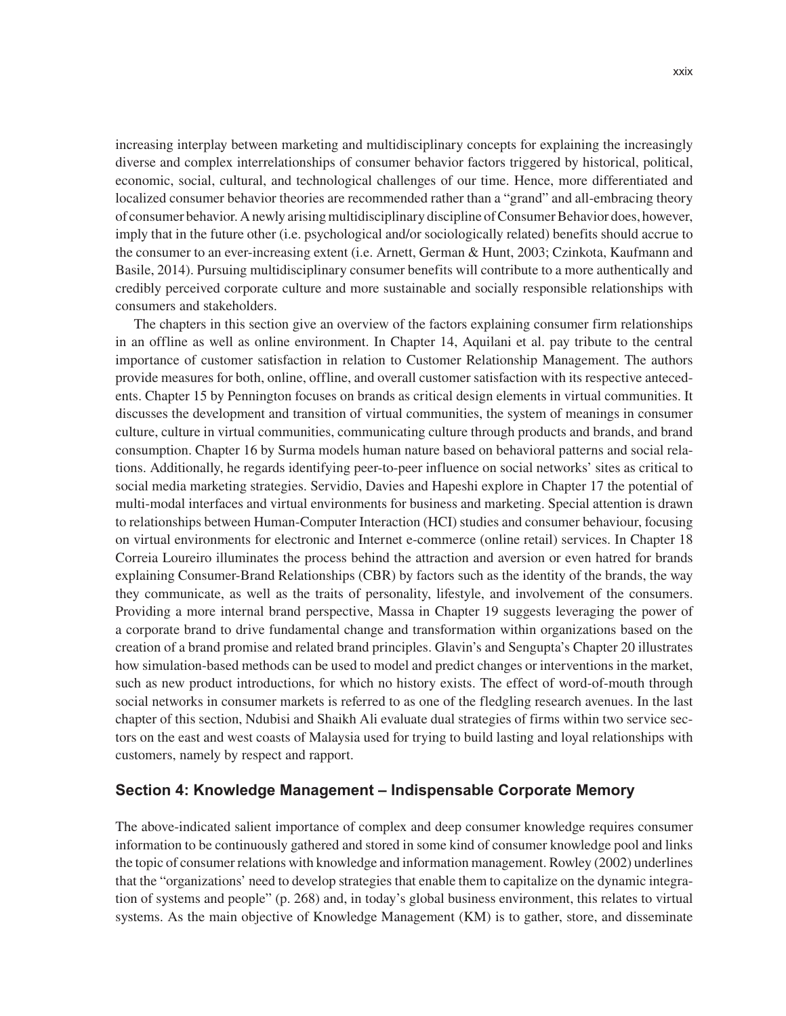increasing interplay between marketing and multidisciplinary concepts for explaining the increasingly diverse and complex interrelationships of consumer behavior factors triggered by historical, political, economic, social, cultural, and technological challenges of our time. Hence, more differentiated and localized consumer behavior theories are recommended rather than a "grand" and all-embracing theory of consumer behavior. A newly arising multidisciplinary discipline of Consumer Behavior does, however, imply that in the future other (i.e. psychological and/or sociologically related) benefits should accrue to the consumer to an ever-increasing extent (i.e. Arnett, German & Hunt, 2003; Czinkota, Kaufmann and Basile, 2014). Pursuing multidisciplinary consumer benefits will contribute to a more authentically and credibly perceived corporate culture and more sustainable and socially responsible relationships with consumers and stakeholders.

The chapters in this section give an overview of the factors explaining consumer firm relationships in an offline as well as online environment. In Chapter 14, Aquilani et al. pay tribute to the central importance of customer satisfaction in relation to Customer Relationship Management. The authors provide measures for both, online, offline, and overall customer satisfaction with its respective antecedents. Chapter 15 by Pennington focuses on brands as critical design elements in virtual communities. It discusses the development and transition of virtual communities, the system of meanings in consumer culture, culture in virtual communities, communicating culture through products and brands, and brand consumption. Chapter 16 by Surma models human nature based on behavioral patterns and social relations. Additionally, he regards identifying peer-to-peer influence on social networks' sites as critical to social media marketing strategies. Servidio, Davies and Hapeshi explore in Chapter 17 the potential of multi-modal interfaces and virtual environments for business and marketing. Special attention is drawn to relationships between Human-Computer Interaction (HCI) studies and consumer behaviour, focusing on virtual environments for electronic and Internet e-commerce (online retail) services. In Chapter 18 Correia Loureiro illuminates the process behind the attraction and aversion or even hatred for brands explaining Consumer-Brand Relationships (CBR) by factors such as the identity of the brands, the way they communicate, as well as the traits of personality, lifestyle, and involvement of the consumers. Providing a more internal brand perspective, Massa in Chapter 19 suggests leveraging the power of a corporate brand to drive fundamental change and transformation within organizations based on the creation of a brand promise and related brand principles. Glavin's and Sengupta's Chapter 20 illustrates how simulation-based methods can be used to model and predict changes or interventions in the market, such as new product introductions, for which no history exists. The effect of word-of-mouth through social networks in consumer markets is referred to as one of the fledgling research avenues. In the last chapter of this section, Ndubisi and Shaikh Ali evaluate dual strategies of firms within two service sectors on the east and west coasts of Malaysia used for trying to build lasting and loyal relationships with customers, namely by respect and rapport.

#### **Section 4: Knowledge Management – Indispensable Corporate Memory**

The above-indicated salient importance of complex and deep consumer knowledge requires consumer information to be continuously gathered and stored in some kind of consumer knowledge pool and links the topic of consumer relations with knowledge and information management. Rowley (2002) underlines that the "organizations' need to develop strategies that enable them to capitalize on the dynamic integration of systems and people" (p. 268) and, in today's global business environment, this relates to virtual systems. As the main objective of Knowledge Management (KM) is to gather, store, and disseminate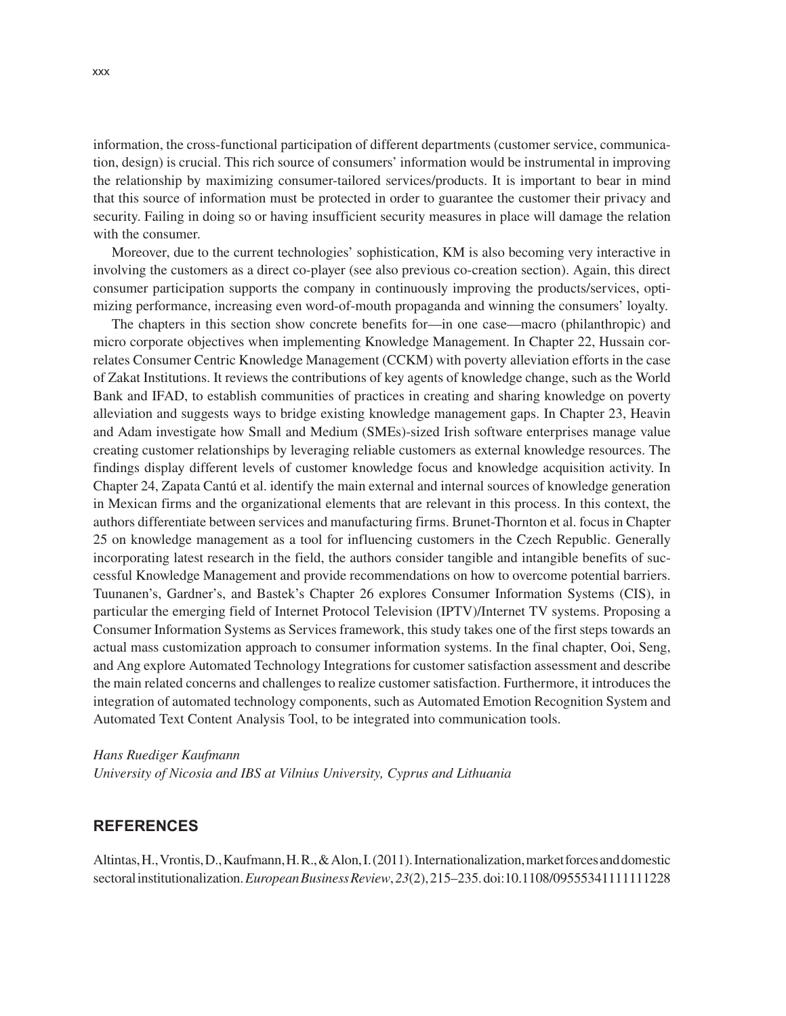information, the cross-functional participation of different departments (customer service, communication, design) is crucial. This rich source of consumers' information would be instrumental in improving the relationship by maximizing consumer-tailored services/products. It is important to bear in mind that this source of information must be protected in order to guarantee the customer their privacy and security. Failing in doing so or having insufficient security measures in place will damage the relation with the consumer.

Moreover, due to the current technologies' sophistication, KM is also becoming very interactive in involving the customers as a direct co-player (see also previous co-creation section). Again, this direct consumer participation supports the company in continuously improving the products/services, optimizing performance, increasing even word-of-mouth propaganda and winning the consumers' loyalty.

The chapters in this section show concrete benefits for—in one case—macro (philanthropic) and micro corporate objectives when implementing Knowledge Management. In Chapter 22, Hussain correlates Consumer Centric Knowledge Management (CCKM) with poverty alleviation efforts in the case of Zakat Institutions. It reviews the contributions of key agents of knowledge change, such as the World Bank and IFAD, to establish communities of practices in creating and sharing knowledge on poverty alleviation and suggests ways to bridge existing knowledge management gaps. In Chapter 23, Heavin and Adam investigate how Small and Medium (SMEs)-sized Irish software enterprises manage value creating customer relationships by leveraging reliable customers as external knowledge resources. The findings display different levels of customer knowledge focus and knowledge acquisition activity. In Chapter 24, Zapata Cantú et al. identify the main external and internal sources of knowledge generation in Mexican firms and the organizational elements that are relevant in this process. In this context, the authors differentiate between services and manufacturing firms. Brunet-Thornton et al. focus in Chapter 25 on knowledge management as a tool for influencing customers in the Czech Republic. Generally incorporating latest research in the field, the authors consider tangible and intangible benefits of successful Knowledge Management and provide recommendations on how to overcome potential barriers. Tuunanen's, Gardner's, and Bastek's Chapter 26 explores Consumer Information Systems (CIS), in particular the emerging field of Internet Protocol Television (IPTV)/Internet TV systems. Proposing a Consumer Information Systems as Services framework, this study takes one of the first steps towards an actual mass customization approach to consumer information systems. In the final chapter, Ooi, Seng, and Ang explore Automated Technology Integrations for customer satisfaction assessment and describe the main related concerns and challenges to realize customer satisfaction. Furthermore, it introduces the integration of automated technology components, such as Automated Emotion Recognition System and Automated Text Content Analysis Tool, to be integrated into communication tools.

#### *Hans Ruediger Kaufmann*

*University of Nicosia and IBS at Vilnius University, Cyprus and Lithuania*

#### **REFERENCES**

Altintas, H., Vrontis, D., Kaufmann, H. R., & Alon, I. (2011). Internationalization, market forces and domestic sectoral institutionalization. *European Business Review*, *23*(2), 215–235. doi:10.1108/09555341111111228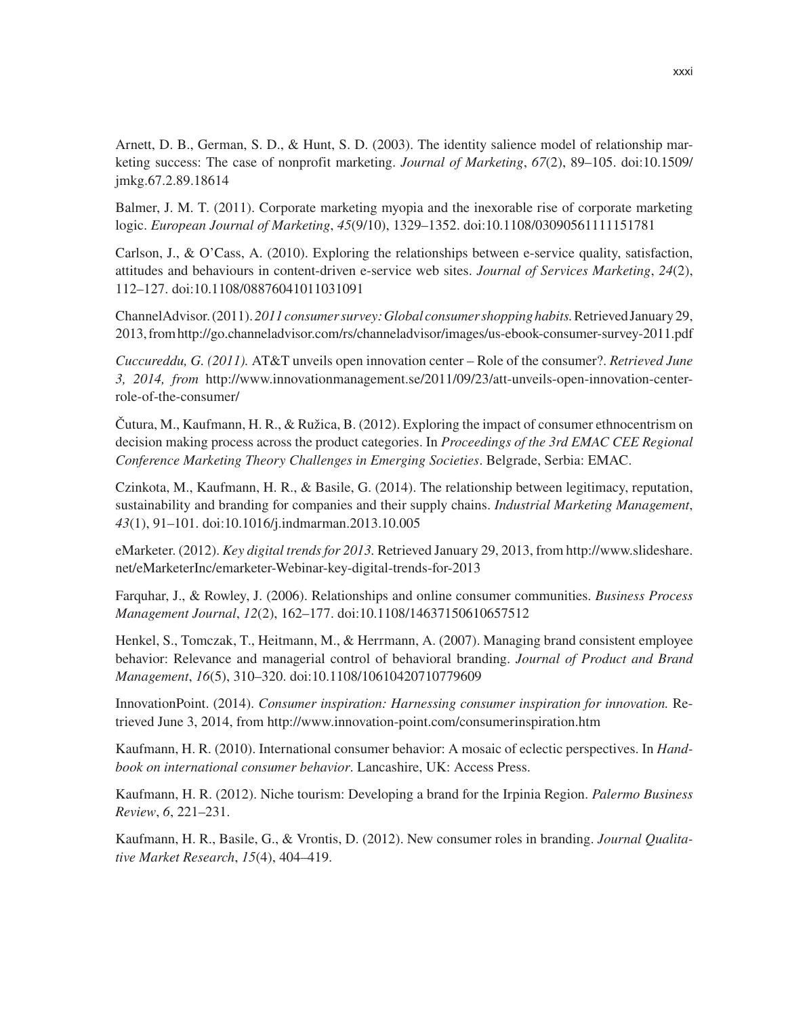Arnett, D. B., German, S. D., & Hunt, S. D. (2003). The identity salience model of relationship marketing success: The case of nonprofit marketing. *Journal of Marketing*, *67*(2), 89–105. doi:10.1509/ jmkg.67.2.89.18614

Balmer, J. M. T. (2011). Corporate marketing myopia and the inexorable rise of corporate marketing logic. *European Journal of Marketing*, *45*(9/10), 1329–1352. doi:10.1108/03090561111151781

Carlson, J., & O'Cass, A. (2010). Exploring the relationships between e-service quality, satisfaction, attitudes and behaviours in content-driven e-service web sites. *Journal of Services Marketing*, *24*(2), 112–127. doi:10.1108/08876041011031091

ChannelAdvisor. (2011). *2011 consumer survey: Global consumer shopping habits.* Retrieved January 29, 2013, from http://go.channeladvisor.com/rs/channeladvisor/images/us-ebook-consumer-survey-2011.pdf

*Cuccureddu, G. (2011).* AT&T unveils open innovation center – Role of the consumer?. *Retrieved June 3, 2014, from* http://www.innovationmanagement.se/2011/09/23/att-unveils-open-innovation-centerrole-of-the-consumer/

Čutura, M., Kaufmann, H. R., & Ružica, B. (2012). Exploring the impact of consumer ethnocentrism on decision making process across the product categories. In *Proceedings of the 3rd EMAC CEE Regional Conference Marketing Theory Challenges in Emerging Societies*. Belgrade, Serbia: EMAC.

Czinkota, M., Kaufmann, H. R., & Basile, G. (2014). The relationship between legitimacy, reputation, sustainability and branding for companies and their supply chains. *Industrial Marketing Management*, *43*(1), 91–101. doi:10.1016/j.indmarman.2013.10.005

eMarketer. (2012). *Key digital trends for 2013.* Retrieved January 29, 2013, from http://www.slideshare. net/eMarketerInc/emarketer-Webinar-key-digital-trends-for-2013

Farquhar, J., & Rowley, J. (2006). Relationships and online consumer communities. *Business Process Management Journal*, *12*(2), 162–177. doi:10.1108/14637150610657512

Henkel, S., Tomczak, T., Heitmann, M., & Herrmann, A. (2007). Managing brand consistent employee behavior: Relevance and managerial control of behavioral branding. *Journal of Product and Brand Management*, *16*(5), 310–320. doi:10.1108/10610420710779609

InnovationPoint. (2014). *Consumer inspiration: Harnessing consumer inspiration for innovation.* Retrieved June 3, 2014, from http://www.innovation-point.com/consumerinspiration.htm

Kaufmann, H. R. (2010). International consumer behavior: A mosaic of eclectic perspectives. In *Handbook on international consumer behavior*. Lancashire, UK: Access Press.

Kaufmann, H. R. (2012). Niche tourism: Developing a brand for the Irpinia Region. *Palermo Business Review*, *6*, 221–231.

Kaufmann, H. R., Basile, G., & Vrontis, D. (2012). New consumer roles in branding. *Journal Qualitative Market Research*, *15*(4), 404–419.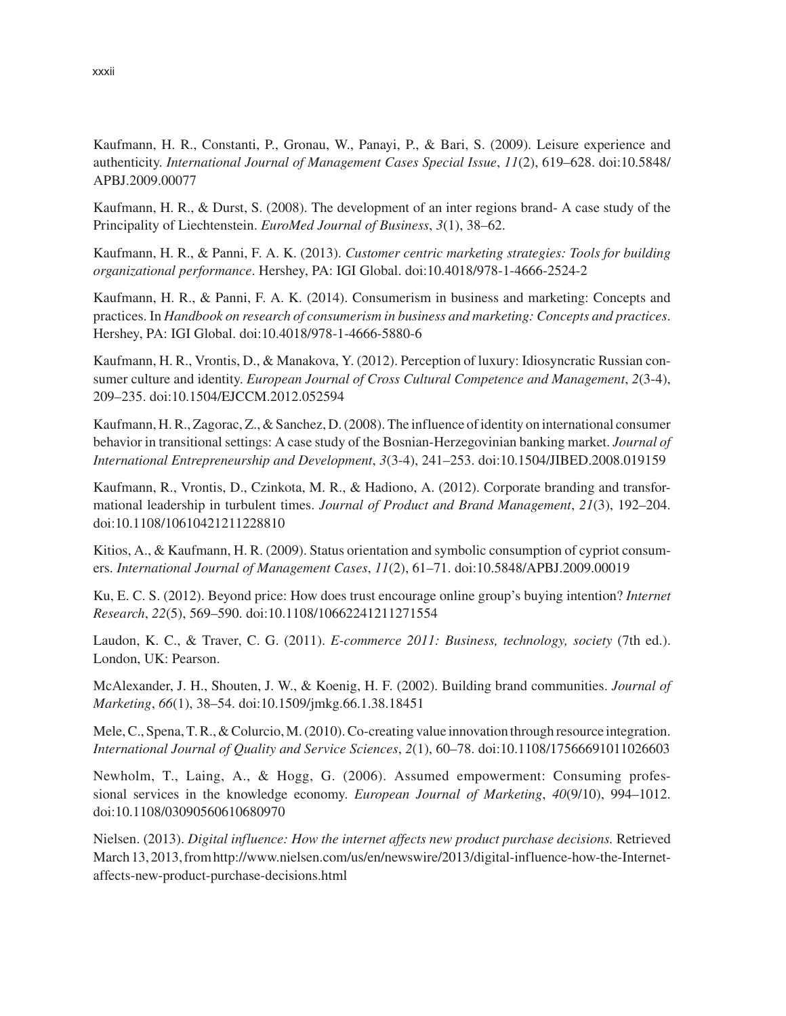Kaufmann, H. R., Constanti, P., Gronau, W., Panayi, P., & Bari, S. (2009). Leisure experience and authenticity. *International Journal of Management Cases Special Issue*, *11*(2), 619–628. doi:10.5848/ APBJ.2009.00077

Kaufmann, H. R., & Durst, S. (2008). The development of an inter regions brand- A case study of the Principality of Liechtenstein. *EuroMed Journal of Business*, *3*(1), 38–62.

Kaufmann, H. R., & Panni, F. A. K. (2013). *Customer centric marketing strategies: Tools for building organizational performance*. Hershey, PA: IGI Global. doi:10.4018/978-1-4666-2524-2

Kaufmann, H. R., & Panni, F. A. K. (2014). Consumerism in business and marketing: Concepts and practices. In *Handbook on research of consumerism in business and marketing: Concepts and practices*. Hershey, PA: IGI Global. doi:10.4018/978-1-4666-5880-6

Kaufmann, H. R., Vrontis, D., & Manakova, Y. (2012). Perception of luxury: Idiosyncratic Russian consumer culture and identity. *European Journal of Cross Cultural Competence and Management*, *2*(3-4), 209–235. doi:10.1504/EJCCM.2012.052594

Kaufmann, H. R., Zagorac, Z., & Sanchez, D. (2008). The influence of identity on international consumer behavior in transitional settings: A case study of the Bosnian-Herzegovinian banking market. *Journal of International Entrepreneurship and Development*, *3*(3-4), 241–253. doi:10.1504/JIBED.2008.019159

Kaufmann, R., Vrontis, D., Czinkota, M. R., & Hadiono, A. (2012). Corporate branding and transformational leadership in turbulent times. *Journal of Product and Brand Management*, *21*(3), 192–204. doi:10.1108/10610421211228810

Kitios, A., & Kaufmann, H. R. (2009). Status orientation and symbolic consumption of cypriot consumers. *International Journal of Management Cases*, *11*(2), 61–71. doi:10.5848/APBJ.2009.00019

Ku, E. C. S. (2012). Beyond price: How does trust encourage online group's buying intention? *Internet Research*, *22*(5), 569–590. doi:10.1108/10662241211271554

Laudon, K. C., & Traver, C. G. (2011). *E-commerce 2011: Business, technology, society* (7th ed.). London, UK: Pearson.

McAlexander, J. H., Shouten, J. W., & Koenig, H. F. (2002). Building brand communities. *Journal of Marketing*, *66*(1), 38–54. doi:10.1509/jmkg.66.1.38.18451

Mele, C., Spena, T. R., & Colurcio, M. (2010). Co-creating value innovation through resource integration. *International Journal of Quality and Service Sciences*, *2*(1), 60–78. doi:10.1108/17566691011026603

Newholm, T., Laing, A., & Hogg, G. (2006). Assumed empowerment: Consuming professional services in the knowledge economy. *European Journal of Marketing*, *40*(9/10), 994–1012. doi:10.1108/03090560610680970

Nielsen. (2013). *Digital influence: How the internet affects new product purchase decisions.* Retrieved March 13, 2013, from http://www.nielsen.com/us/en/newswire/2013/digital-influence-how-the-Internetaffects-new-product-purchase-decisions.html